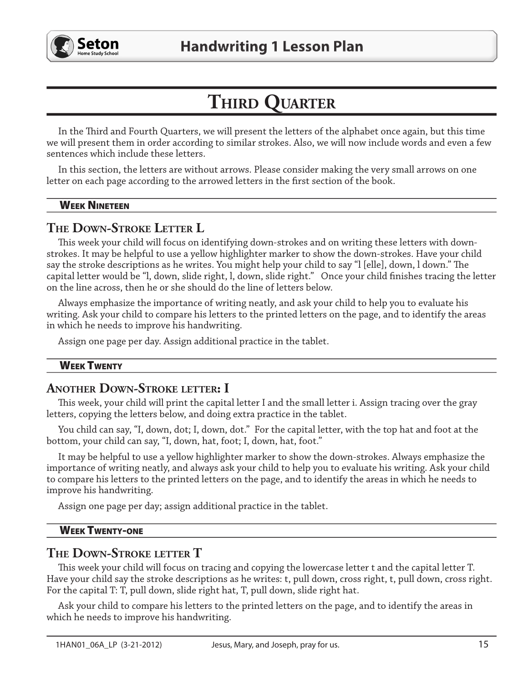

# THIRD QUARTER

In the Third and Fourth Quarters, we will present the letters of the alphabet once again, but this time we will present them in order according to similar strokes. Also, we will now include words and even a few sentences which include these letters.

In this section, the letters are without arrows. Please consider making the very small arrows on one letter on each page according to the arrowed letters in the first section of the book.

#### **WEEK NINETEEN**

# THE DOWN-STROKE LETTER L

This week your child will focus on identifying down-strokes and on writing these letters with downstrokes. It may be helpful to use a yellow highlighter marker to show the down-strokes. Have your child say the stroke descriptions as he writes. You might help your child to say "I [elle], down, I down." The capital letter would be "1, down, slide right, 1, down, slide right." Once your child finishes tracing the letter on the line across, then he or she should do the line of letters below.

Always emphasize the importance of writing neatly, and ask your child to help you to evaluate his writing. Ask your child to compare his letters to the printed letters on the page, and to identify the areas in which he needs to improve his handwriting.

Assign one page per day. Assign additional practice in the tablet.

#### **WEEK TWENTY**

# **ANOTHER DOWN-STROKE LETTER: I**

This week, your child will print the capital letter I and the small letter i. Assign tracing over the gray letters, copying the letters below, and doing extra practice in the tablet.

You child can say, "I, down, dot; I, down, dot." For the capital letter, with the top hat and foot at the bottom, your child can say, "I, down, hat, foot; I, down, hat, foot."

It may be helpful to use a yellow highlighter marker to show the down-strokes. Always emphasize the importance of writing neatly, and always ask your child to help you to evaluate his writing. Ask your child to compare his letters to the printed letters on the page, and to identify the areas in which he needs to improve his handwriting.

Assign one page per day; assign additional practice in the tablet.

#### **WEEK TWENTY-ONE**

# THE DOWN-STROKE LETTER T

This week your child will focus on tracing and copying the lowercase letter t and the capital letter T. Have your child say the stroke descriptions as he writes: t, pull down, cross right, t, pull down, cross right. For the capital T: T, pull down, slide right hat, T, pull down, slide right hat.

Ask your child to compare his letters to the printed letters on the page, and to identify the areas in which he needs to improve his handwriting.